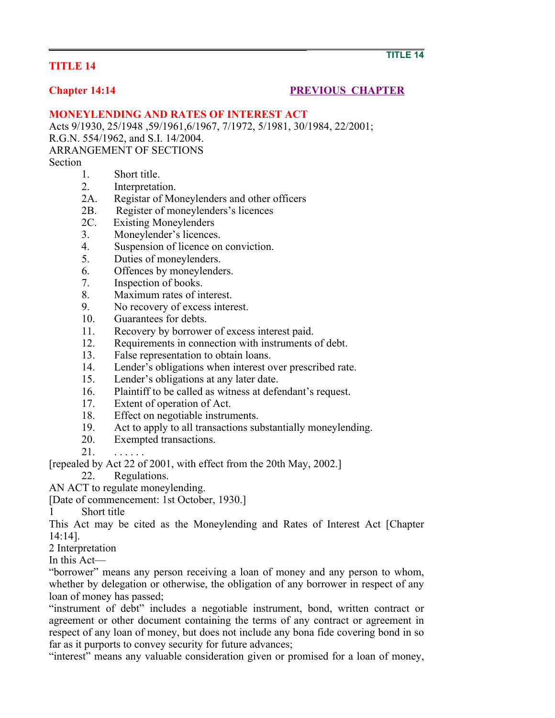## **TITLE 14**

## **Chapter 14:14** PREVIOUS CHAPTER

## **MONEYLENDING AND RATES OF INTEREST ACT**

Acts 9/1930, 25/1948 ,59/1961,6/1967, 7/1972, 5/1981, 30/1984, 22/2001; R.G.N. 554/1962, and S.I. 14/2004. ARRANGEMENT OF SECTIONS Section

- 1. Short title.
- 2. Interpretation.
- 2A. Registar of Moneylenders and other officers
- 2B. Register of moneylenders's licences
- 2C. Existing Moneylenders
- 3. Moneylender's licences.
- 4. Suspension of licence on conviction.
- 5. Duties of moneylenders.
- 6. Offences by moneylenders.
- 7. Inspection of books.
- 8. Maximum rates of interest.
- 9. No recovery of excess interest.
- 10. Guarantees for debts.
- 11. Recovery by borrower of excess interest paid.
- 12. Requirements in connection with instruments of debt.<br>13. False representation to obtain loans.
- False representation to obtain loans.
- 14. Lender's obligations when interest over prescribed rate.
- 15. Lender's obligations at any later date.
- 16. Plaintiff to be called as witness at defendant's request.
- 17. Extent of operation of Act.
- 18. Effect on negotiable instruments.
- 19. Act to apply to all transactions substantially moneylending.
- 20. Exempted transactions.
- $21.$

[repealed by Act 22 of 2001, with effect from the 20th May, 2002.]

22. Regulations.

AN ACT to regulate moneylending.

[Date of commencement: 1st October, 1930.]

1 Short title

This Act may be cited as the Moneylending and Rates of Interest Act [Chapter 14:14].

- 2 Interpretation
- In this Act—

"borrower" means any person receiving a loan of money and any person to whom, whether by delegation or otherwise, the obligation of any borrower in respect of any loan of money has passed;

"instrument of debt" includes a negotiable instrument, bond, written contract or agreement or other document containing the terms of any contract or agreement in respect of any loan of money, but does not include any bona fide covering bond in so far as it purports to convey security for future advances;

"interest" means any valuable consideration given or promised for a loan of money,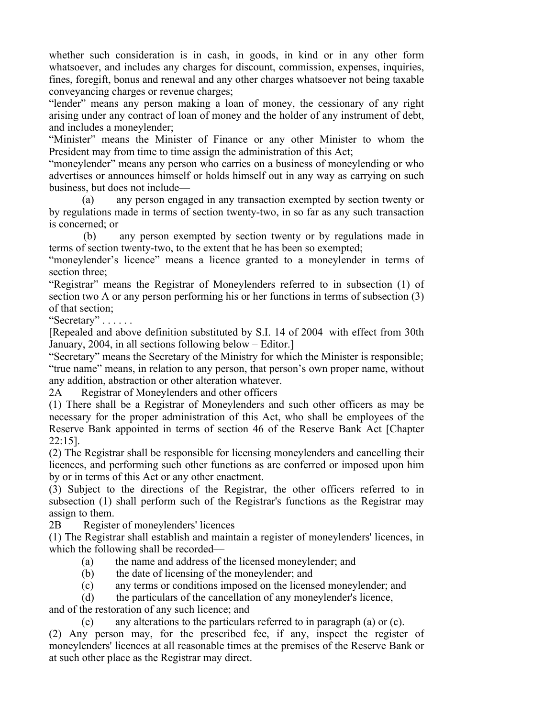whether such consideration is in cash, in goods, in kind or in any other form whatsoever, and includes any charges for discount, commission, expenses, inquiries, fines, foregift, bonus and renewal and any other charges whatsoever not being taxable conveyancing charges or revenue charges;

"lender" means any person making a loan of money, the cessionary of any right arising under any contract of loan of money and the holder of any instrument of debt, and includes a moneylender;

"Minister" means the Minister of Finance or any other Minister to whom the President may from time to time assign the administration of this Act;

"moneylender" means any person who carries on a business of moneylending or who advertises or announces himself or holds himself out in any way as carrying on such business, but does not include—

 (a) any person engaged in any transaction exempted by section twenty or by regulations made in terms of section twenty-two, in so far as any such transaction is concerned; or

 (b) any person exempted by section twenty or by regulations made in terms of section twenty-two, to the extent that he has been so exempted;

"moneylender's licence" means a licence granted to a moneylender in terms of section three;

"Registrar" means the Registrar of Moneylenders referred to in subsection (1) of section two A or any person performing his or her functions in terms of subsection (3) of that section;

"Secretary" . . . . . .

[Repealed and above definition substituted by S.I. 14 of 2004 with effect from 30th January, 2004, in all sections following below – Editor.]

"Secretary" means the Secretary of the Ministry for which the Minister is responsible; "true name" means, in relation to any person, that person's own proper name, without any addition, abstraction or other alteration whatever.

2A Registrar of Moneylenders and other officers

(1) There shall be a Registrar of Moneylenders and such other officers as may be necessary for the proper administration of this Act, who shall be employees of the Reserve Bank appointed in terms of section 46 of the Reserve Bank Act [Chapter 22:15].

(2) The Registrar shall be responsible for licensing moneylenders and cancelling their licences, and performing such other functions as are conferred or imposed upon him by or in terms of this Act or any other enactment.

(3) Subject to the directions of the Registrar, the other officers referred to in subsection (1) shall perform such of the Registrar's functions as the Registrar may assign to them.

2B Register of moneylenders' licences

(1) The Registrar shall establish and maintain a register of moneylenders' licences, in which the following shall be recorded—

- (a) the name and address of the licensed moneylender; and
- (b) the date of licensing of the moneylender; and
- (c) any terms or conditions imposed on the licensed moneylender; and

(d) the particulars of the cancellation of any moneylender's licence,

and of the restoration of any such licence; and

(e) any alterations to the particulars referred to in paragraph (a) or (c).

(2) Any person may, for the prescribed fee, if any, inspect the register of moneylenders' licences at all reasonable times at the premises of the Reserve Bank or at such other place as the Registrar may direct.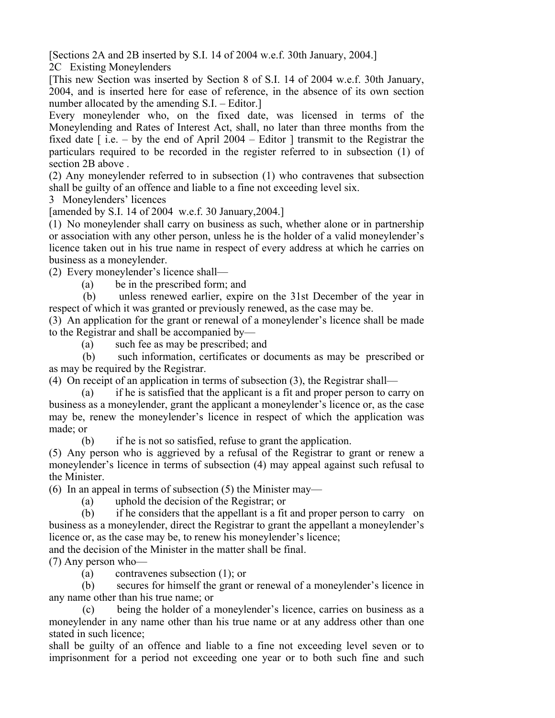[Sections 2A and 2B inserted by S.I. 14 of 2004 w.e.f. 30th January, 2004.]

2C Existing Moneylenders

[This new Section was inserted by Section 8 of S.I. 14 of 2004 w.e.f. 30th January, 2004, and is inserted here for ease of reference, in the absence of its own section number allocated by the amending S.I. – Editor.

Every moneylender who, on the fixed date, was licensed in terms of the Moneylending and Rates of Interest Act, shall, no later than three months from the fixed date  $\lceil$  i.e. – by the end of April 2004 – Editor  $\lceil$  transmit to the Registrar the particulars required to be recorded in the register referred to in subsection (1) of section 2B above .

(2) Any moneylender referred to in subsection (1) who contravenes that subsection shall be guilty of an offence and liable to a fine not exceeding level six.

3 Moneylenders' licences

[amended by S.I. 14 of 2004 w.e.f. 30 January,2004.]

(1) No moneylender shall carry on business as such, whether alone or in partnership or association with any other person, unless he is the holder of a valid moneylender's licence taken out in his true name in respect of every address at which he carries on business as a moneylender.

(2) Every moneylender's licence shall—

(a) be in the prescribed form; and

 (b) unless renewed earlier, expire on the 31st December of the year in respect of which it was granted or previously renewed, as the case may be.

(3) An application for the grant or renewal of a moneylender's licence shall be made to the Registrar and shall be accompanied by—

(a) such fee as may be prescribed; and

 (b) such information, certificates or documents as may be prescribed or as may be required by the Registrar.

(4) On receipt of an application in terms of subsection (3), the Registrar shall—

 (a) if he is satisfied that the applicant is a fit and proper person to carry on business as a moneylender, grant the applicant a moneylender's licence or, as the case may be, renew the moneylender's licence in respect of which the application was made; or

(b) if he is not so satisfied, refuse to grant the application.

(5) Any person who is aggrieved by a refusal of the Registrar to grant or renew a moneylender's licence in terms of subsection (4) may appeal against such refusal to the Minister.

(6) In an appeal in terms of subsection (5) the Minister may—

(a) uphold the decision of the Registrar; or

 (b) if he considers that the appellant is a fit and proper person to carry on business as a moneylender, direct the Registrar to grant the appellant a moneylender's licence or, as the case may be, to renew his moneylender's licence;

and the decision of the Minister in the matter shall be final.

(7) Any person who—

(a) contravenes subsection (1); or

 (b) secures for himself the grant or renewal of a moneylender's licence in any name other than his true name; or

 (c) being the holder of a moneylender's licence, carries on business as a moneylender in any name other than his true name or at any address other than one stated in such licence;

shall be guilty of an offence and liable to a fine not exceeding level seven or to imprisonment for a period not exceeding one year or to both such fine and such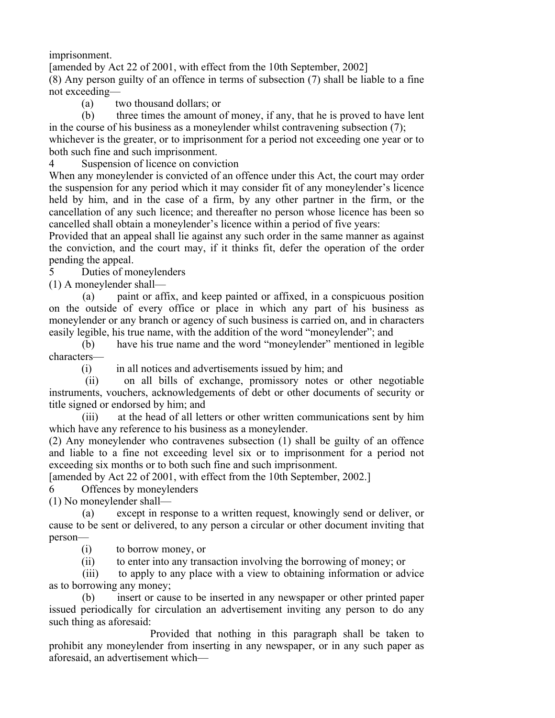imprisonment.

[amended by Act 22 of 2001, with effect from the 10th September, 2002] (8) Any person guilty of an offence in terms of subsection (7) shall be liable to a fine not exceeding—

(a) two thousand dollars; or

 (b) three times the amount of money, if any, that he is proved to have lent in the course of his business as a moneylender whilst contravening subsection (7);

whichever is the greater, or to imprisonment for a period not exceeding one year or to both such fine and such imprisonment.

4 Suspension of licence on conviction

When any moneylender is convicted of an offence under this Act, the court may order the suspension for any period which it may consider fit of any moneylender's licence held by him, and in the case of a firm, by any other partner in the firm, or the cancellation of any such licence; and thereafter no person whose licence has been so cancelled shall obtain a moneylender's licence within a period of five years:

Provided that an appeal shall lie against any such order in the same manner as against the conviction, and the court may, if it thinks fit, defer the operation of the order pending the appeal.

5 Duties of moneylenders

(1) A moneylender shall—

 (a) paint or affix, and keep painted or affixed, in a conspicuous position on the outside of every office or place in which any part of his business as moneylender or any branch or agency of such business is carried on, and in characters easily legible, his true name, with the addition of the word "moneylender"; and

 (b) have his true name and the word "moneylender" mentioned in legible characters—

(i) in all notices and advertisements issued by him; and

 (ii) on all bills of exchange, promissory notes or other negotiable instruments, vouchers, acknowledgements of debt or other documents of security or title signed or endorsed by him; and

 (iii) at the head of all letters or other written communications sent by him which have any reference to his business as a moneylender.

(2) Any moneylender who contravenes subsection (1) shall be guilty of an offence and liable to a fine not exceeding level six or to imprisonment for a period not exceeding six months or to both such fine and such imprisonment.

[amended by Act 22 of 2001, with effect from the 10th September, 2002.]

6 Offences by moneylenders

(1) No moneylender shall—

 (a) except in response to a written request, knowingly send or deliver, or cause to be sent or delivered, to any person a circular or other document inviting that person—

(i) to borrow money, or

(ii) to enter into any transaction involving the borrowing of money; or

 (iii) to apply to any place with a view to obtaining information or advice as to borrowing any money;

 (b) insert or cause to be inserted in any newspaper or other printed paper issued periodically for circulation an advertisement inviting any person to do any such thing as aforesaid:

 Provided that nothing in this paragraph shall be taken to prohibit any moneylender from inserting in any newspaper, or in any such paper as aforesaid, an advertisement which—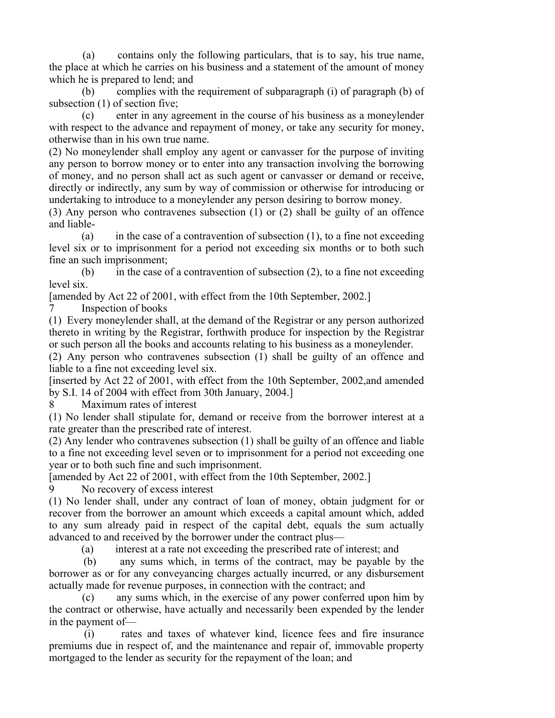(a) contains only the following particulars, that is to say, his true name, the place at which he carries on his business and a statement of the amount of money which he is prepared to lend; and

 (b) complies with the requirement of subparagraph (i) of paragraph (b) of subsection (1) of section five;

 (c) enter in any agreement in the course of his business as a moneylender with respect to the advance and repayment of money, or take any security for money, otherwise than in his own true name.

(2) No moneylender shall employ any agent or canvasser for the purpose of inviting any person to borrow money or to enter into any transaction involving the borrowing of money, and no person shall act as such agent or canvasser or demand or receive, directly or indirectly, any sum by way of commission or otherwise for introducing or undertaking to introduce to a moneylender any person desiring to borrow money.

(3) Any person who contravenes subsection (1) or (2) shall be guilty of an offence and liable-

(a) in the case of a contravention of subsection  $(1)$ , to a fine not exceeding level six or to imprisonment for a period not exceeding six months or to both such fine an such imprisonment;

(b) in the case of a contravention of subsection  $(2)$ , to a fine not exceeding level six.

[amended by Act 22 of 2001, with effect from the 10th September, 2002.]

7 Inspection of books

(1) Every moneylender shall, at the demand of the Registrar or any person authorized thereto in writing by the Registrar, forthwith produce for inspection by the Registrar or such person all the books and accounts relating to his business as a moneylender.

(2) Any person who contravenes subsection (1) shall be guilty of an offence and liable to a fine not exceeding level six.

[inserted by Act 22 of 2001, with effect from the 10th September, 2002,and amended by S.I. 14 of 2004 with effect from 30th January, 2004.]

8 Maximum rates of interest

(1) No lender shall stipulate for, demand or receive from the borrower interest at a rate greater than the prescribed rate of interest.

(2) Any lender who contravenes subsection (1) shall be guilty of an offence and liable to a fine not exceeding level seven or to imprisonment for a period not exceeding one year or to both such fine and such imprisonment.

[amended by Act 22 of 2001, with effect from the 10th September, 2002.]

9 No recovery of excess interest

(1) No lender shall, under any contract of loan of money, obtain judgment for or recover from the borrower an amount which exceeds a capital amount which, added to any sum already paid in respect of the capital debt, equals the sum actually advanced to and received by the borrower under the contract plus—

(a) interest at a rate not exceeding the prescribed rate of interest; and

 (b) any sums which, in terms of the contract, may be payable by the borrower as or for any conveyancing charges actually incurred, or any disbursement actually made for revenue purposes, in connection with the contract; and

 (c) any sums which, in the exercise of any power conferred upon him by the contract or otherwise, have actually and necessarily been expended by the lender in the payment of—

 (i) rates and taxes of whatever kind, licence fees and fire insurance premiums due in respect of, and the maintenance and repair of, immovable property mortgaged to the lender as security for the repayment of the loan; and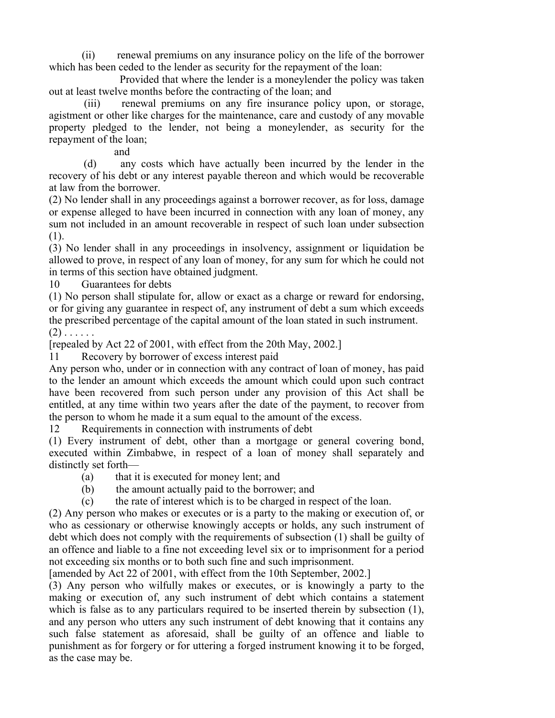(ii) renewal premiums on any insurance policy on the life of the borrower which has been ceded to the lender as security for the repayment of the loan:

 Provided that where the lender is a moneylender the policy was taken out at least twelve months before the contracting of the loan; and

 (iii) renewal premiums on any fire insurance policy upon, or storage, agistment or other like charges for the maintenance, care and custody of any movable property pledged to the lender, not being a moneylender, as security for the repayment of the loan;

and

 (d) any costs which have actually been incurred by the lender in the recovery of his debt or any interest payable thereon and which would be recoverable at law from the borrower.

(2) No lender shall in any proceedings against a borrower recover, as for loss, damage or expense alleged to have been incurred in connection with any loan of money, any sum not included in an amount recoverable in respect of such loan under subsection (1).

(3) No lender shall in any proceedings in insolvency, assignment or liquidation be allowed to prove, in respect of any loan of money, for any sum for which he could not in terms of this section have obtained judgment.

10 Guarantees for debts

(1) No person shall stipulate for, allow or exact as a charge or reward for endorsing, or for giving any guarantee in respect of, any instrument of debt a sum which exceeds the prescribed percentage of the capital amount of the loan stated in such instrument.  $(2)$  . . . . . .

[repealed by Act 22 of 2001, with effect from the 20th May, 2002.]

11 Recovery by borrower of excess interest paid

Any person who, under or in connection with any contract of loan of money, has paid to the lender an amount which exceeds the amount which could upon such contract have been recovered from such person under any provision of this Act shall be entitled, at any time within two years after the date of the payment, to recover from the person to whom he made it a sum equal to the amount of the excess.

12 Requirements in connection with instruments of debt

(1) Every instrument of debt, other than a mortgage or general covering bond, executed within Zimbabwe, in respect of a loan of money shall separately and distinctly set forth—

- (a) that it is executed for money lent; and
- (b) the amount actually paid to the borrower; and

(c) the rate of interest which is to be charged in respect of the loan.

(2) Any person who makes or executes or is a party to the making or execution of, or who as cessionary or otherwise knowingly accepts or holds, any such instrument of debt which does not comply with the requirements of subsection (1) shall be guilty of an offence and liable to a fine not exceeding level six or to imprisonment for a period not exceeding six months or to both such fine and such imprisonment.

[amended by Act 22 of 2001, with effect from the 10th September, 2002.]

(3) Any person who wilfully makes or executes, or is knowingly a party to the making or execution of, any such instrument of debt which contains a statement which is false as to any particulars required to be inserted therein by subsection (1). and any person who utters any such instrument of debt knowing that it contains any such false statement as aforesaid, shall be guilty of an offence and liable to punishment as for forgery or for uttering a forged instrument knowing it to be forged, as the case may be.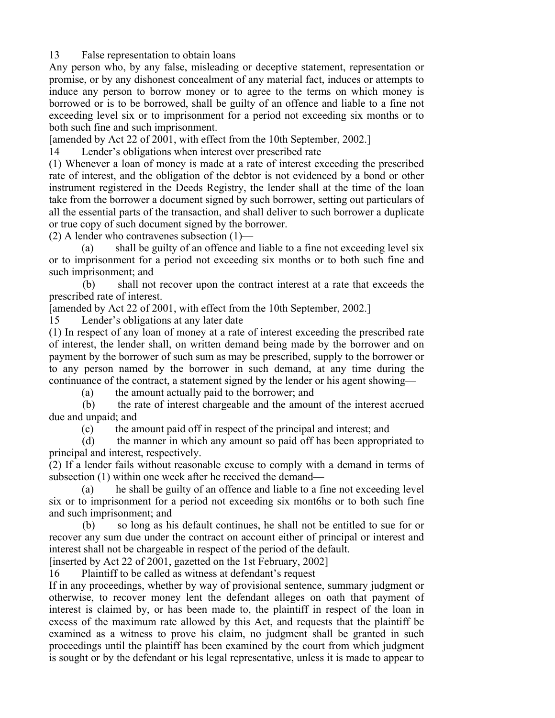13 False representation to obtain loans

Any person who, by any false, misleading or deceptive statement, representation or promise, or by any dishonest concealment of any material fact, induces or attempts to induce any person to borrow money or to agree to the terms on which money is borrowed or is to be borrowed, shall be guilty of an offence and liable to a fine not exceeding level six or to imprisonment for a period not exceeding six months or to both such fine and such imprisonment.

[amended by Act 22 of 2001, with effect from the 10th September, 2002.]

14 Lender's obligations when interest over prescribed rate

(1) Whenever a loan of money is made at a rate of interest exceeding the prescribed rate of interest, and the obligation of the debtor is not evidenced by a bond or other instrument registered in the Deeds Registry, the lender shall at the time of the loan take from the borrower a document signed by such borrower, setting out particulars of all the essential parts of the transaction, and shall deliver to such borrower a duplicate or true copy of such document signed by the borrower.

(2) A lender who contravenes subsection  $(1)$ —

 (a) shall be guilty of an offence and liable to a fine not exceeding level six or to imprisonment for a period not exceeding six months or to both such fine and such imprisonment; and

 (b) shall not recover upon the contract interest at a rate that exceeds the prescribed rate of interest.

[amended by Act 22 of 2001, with effect from the 10th September, 2002.]

15 Lender's obligations at any later date

(1) In respect of any loan of money at a rate of interest exceeding the prescribed rate of interest, the lender shall, on written demand being made by the borrower and on payment by the borrower of such sum as may be prescribed, supply to the borrower or to any person named by the borrower in such demand, at any time during the continuance of the contract, a statement signed by the lender or his agent showing—

(a) the amount actually paid to the borrower; and

 (b) the rate of interest chargeable and the amount of the interest accrued due and unpaid; and

(c) the amount paid off in respect of the principal and interest; and

 (d) the manner in which any amount so paid off has been appropriated to principal and interest, respectively.

(2) If a lender fails without reasonable excuse to comply with a demand in terms of subsection (1) within one week after he received the demand—

 (a) he shall be guilty of an offence and liable to a fine not exceeding level six or to imprisonment for a period not exceeding six mont6hs or to both such fine and such imprisonment; and

 (b) so long as his default continues, he shall not be entitled to sue for or recover any sum due under the contract on account either of principal or interest and interest shall not be chargeable in respect of the period of the default.

[inserted by Act 22 of 2001, gazetted on the 1st February, 2002]

16 Plaintiff to be called as witness at defendant's request

If in any proceedings, whether by way of provisional sentence, summary judgment or otherwise, to recover money lent the defendant alleges on oath that payment of interest is claimed by, or has been made to, the plaintiff in respect of the loan in excess of the maximum rate allowed by this Act, and requests that the plaintiff be examined as a witness to prove his claim, no judgment shall be granted in such proceedings until the plaintiff has been examined by the court from which judgment is sought or by the defendant or his legal representative, unless it is made to appear to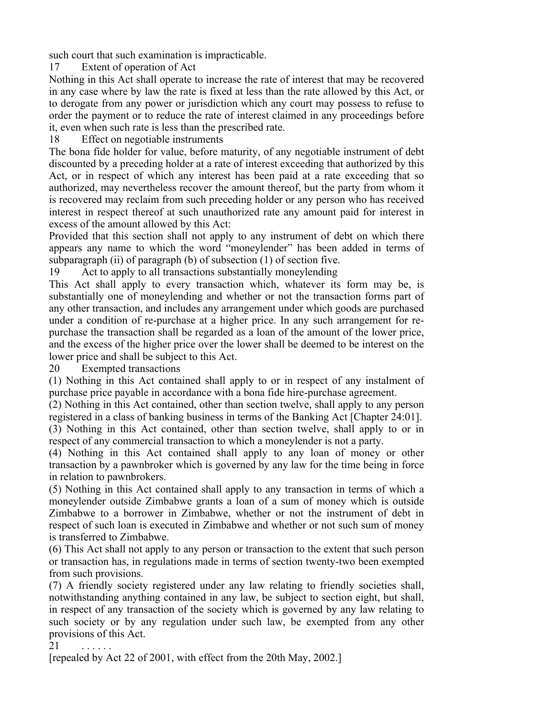such court that such examination is impracticable.

17 Extent of operation of Act

Nothing in this Act shall operate to increase the rate of interest that may be recovered in any case where by law the rate is fixed at less than the rate allowed by this Act, or to derogate from any power or jurisdiction which any court may possess to refuse to order the payment or to reduce the rate of interest claimed in any proceedings before it, even when such rate is less than the prescribed rate.

18 Effect on negotiable instruments

The bona fide holder for value, before maturity, of any negotiable instrument of debt discounted by a preceding holder at a rate of interest exceeding that authorized by this Act, or in respect of which any interest has been paid at a rate exceeding that so authorized, may nevertheless recover the amount thereof, but the party from whom it is recovered may reclaim from such preceding holder or any person who has received interest in respect thereof at such unauthorized rate any amount paid for interest in excess of the amount allowed by this Act:

Provided that this section shall not apply to any instrument of debt on which there appears any name to which the word "moneylender" has been added in terms of subparagraph (ii) of paragraph (b) of subsection (1) of section five.

19 Act to apply to all transactions substantially moneylending

This Act shall apply to every transaction which, whatever its form may be, is substantially one of moneylending and whether or not the transaction forms part of any other transaction, and includes any arrangement under which goods are purchased under a condition of re-purchase at a higher price. In any such arrangement for repurchase the transaction shall be regarded as a loan of the amount of the lower price, and the excess of the higher price over the lower shall be deemed to be interest on the lower price and shall be subject to this Act.

20 Exempted transactions

(1) Nothing in this Act contained shall apply to or in respect of any instalment of purchase price payable in accordance with a bona fide hire-purchase agreement.

(2) Nothing in this Act contained, other than section twelve, shall apply to any person registered in a class of banking business in terms of the Banking Act [Chapter 24:01].

(3) Nothing in this Act contained, other than section twelve, shall apply to or in respect of any commercial transaction to which a moneylender is not a party.

(4) Nothing in this Act contained shall apply to any loan of money or other transaction by a pawnbroker which is governed by any law for the time being in force in relation to pawnbrokers.

(5) Nothing in this Act contained shall apply to any transaction in terms of which a moneylender outside Zimbabwe grants a loan of a sum of money which is outside Zimbabwe to a borrower in Zimbabwe, whether or not the instrument of debt in respect of such loan is executed in Zimbabwe and whether or not such sum of money is transferred to Zimbabwe.

(6) This Act shall not apply to any person or transaction to the extent that such person or transaction has, in regulations made in terms of section twenty-two been exempted from such provisions.

(7) A friendly society registered under any law relating to friendly societies shall, notwithstanding anything contained in any law, be subject to section eight, but shall, in respect of any transaction of the society which is governed by any law relating to such society or by any regulation under such law, be exempted from any other provisions of this Act.

 $21$ 

[repealed by Act 22 of 2001, with effect from the 20th May, 2002.]